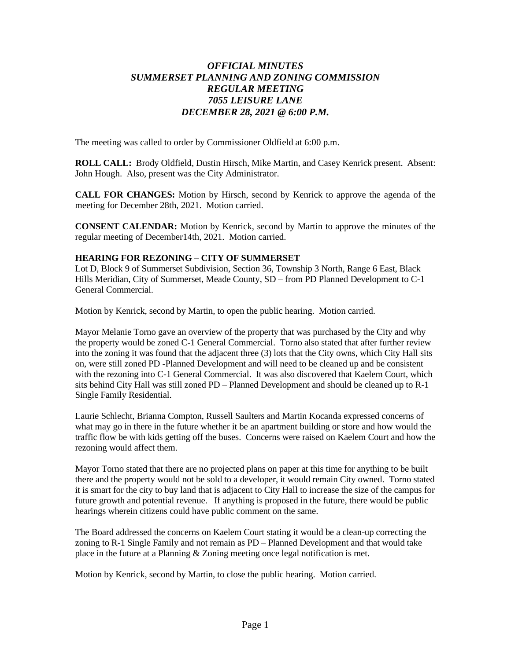## *OFFICIAL MINUTES SUMMERSET PLANNING AND ZONING COMMISSION REGULAR MEETING 7055 LEISURE LANE DECEMBER 28, 2021 @ 6:00 P.M.*

The meeting was called to order by Commissioner Oldfield at 6:00 p.m.

**ROLL CALL:** Brody Oldfield, Dustin Hirsch, Mike Martin, and Casey Kenrick present. Absent: John Hough. Also, present was the City Administrator.

**CALL FOR CHANGES:** Motion by Hirsch, second by Kenrick to approve the agenda of the meeting for December 28th, 2021. Motion carried.

**CONSENT CALENDAR:** Motion by Kenrick, second by Martin to approve the minutes of the regular meeting of December14th, 2021. Motion carried.

## **HEARING FOR REZONING – CITY OF SUMMERSET**

Lot D, Block 9 of Summerset Subdivision, Section 36, Township 3 North, Range 6 East, Black Hills Meridian, City of Summerset, Meade County, SD – from PD Planned Development to C-1 General Commercial.

Motion by Kenrick, second by Martin, to open the public hearing. Motion carried.

Mayor Melanie Torno gave an overview of the property that was purchased by the City and why the property would be zoned C-1 General Commercial. Torno also stated that after further review into the zoning it was found that the adjacent three (3) lots that the City owns, which City Hall sits on, were still zoned PD -Planned Development and will need to be cleaned up and be consistent with the rezoning into C-1 General Commercial. It was also discovered that Kaelem Court, which sits behind City Hall was still zoned PD – Planned Development and should be cleaned up to R-1 Single Family Residential.

Laurie Schlecht, Brianna Compton, Russell Saulters and Martin Kocanda expressed concerns of what may go in there in the future whether it be an apartment building or store and how would the traffic flow be with kids getting off the buses. Concerns were raised on Kaelem Court and how the rezoning would affect them.

Mayor Torno stated that there are no projected plans on paper at this time for anything to be built there and the property would not be sold to a developer, it would remain City owned. Torno stated it is smart for the city to buy land that is adjacent to City Hall to increase the size of the campus for future growth and potential revenue. If anything is proposed in the future, there would be public hearings wherein citizens could have public comment on the same.

The Board addressed the concerns on Kaelem Court stating it would be a clean-up correcting the zoning to R-1 Single Family and not remain as PD – Planned Development and that would take place in the future at a Planning & Zoning meeting once legal notification is met.

Motion by Kenrick, second by Martin, to close the public hearing. Motion carried.